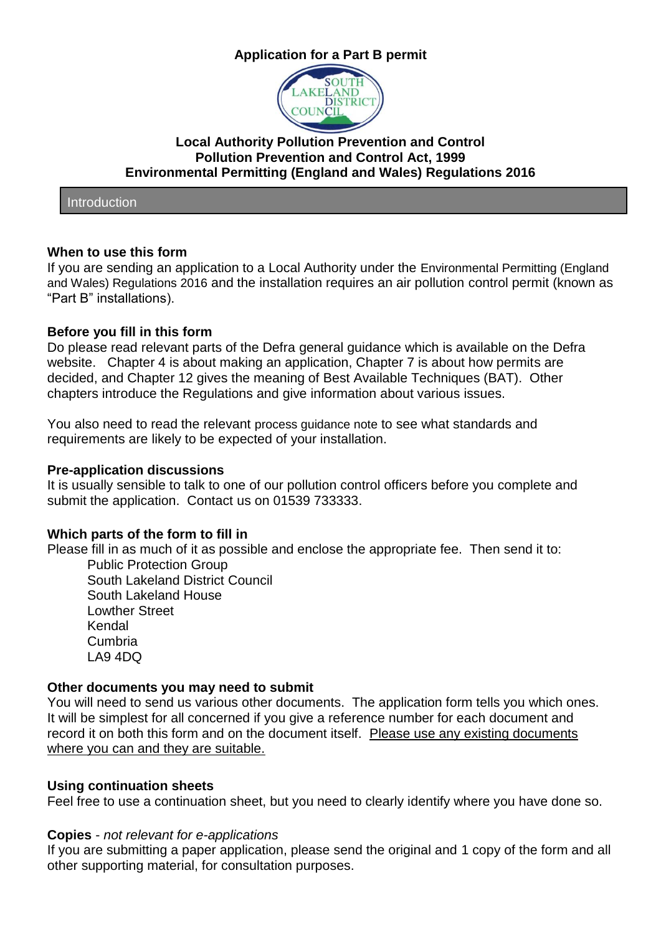# **Application for a Part B permit**



# **Local Authority Pollution Prevention and Control Pollution Prevention and Control Act, 1999 Environmental Permitting (England and Wales) Regulations 2016**

Introduction

### **When to use this form**

If you are sending an application to a Local Authority under the Environmental Permitting (England and Wales) Regulations 2016 and the installation requires an air pollution control permit (known as "Part B" installations).

### **Before you fill in this form**

Do please read relevant parts of the Defra general guidance which is available on the Defra website. Chapter 4 is about making an application, Chapter 7 is about how permits are decided, and Chapter 12 gives the meaning of Best Available Techniques (BAT). Other chapters introduce the Regulations and give information about various issues.

You also need to read the relevant process guidance note to see what standards and requirements are likely to be expected of your installation.

#### **Pre-application discussions**

It is usually sensible to talk to one of our pollution control officers before you complete and submit the application. Contact us on 01539 733333.

# **Which parts of the form to fill in**

Please fill in as much of it as possible and enclose the appropriate fee. Then send it to:

Public Protection Group South Lakeland District Council South Lakeland House Lowther Street Kendal Cumbria LA9 4DQ

# **Other documents you may need to submit**

You will need to send us various other documents. The application form tells you which ones. It will be simplest for all concerned if you give a reference number for each document and record it on both this form and on the document itself. Please use any existing documents where you can and they are suitable.

# **Using continuation sheets**

Feel free to use a continuation sheet, but you need to clearly identify where you have done so.

# **Copies** - *not relevant for e-applications*

If you are submitting a paper application, please send the original and 1 copy of the form and all other supporting material, for consultation purposes.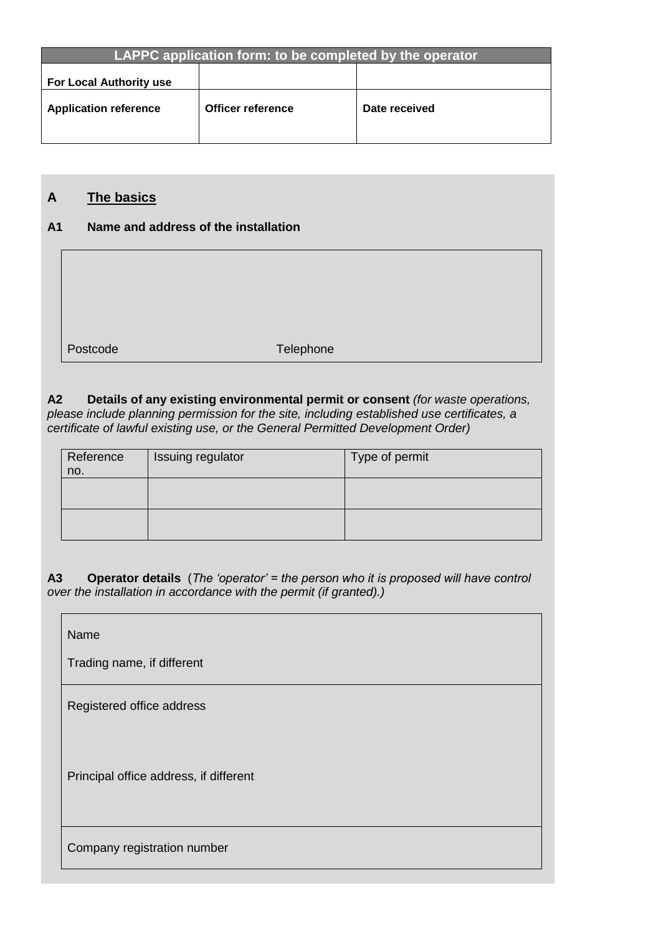| LAPPC application form: to be completed by the operator |                   |               |
|---------------------------------------------------------|-------------------|---------------|
|                                                         |                   |               |
|                                                         |                   |               |
| <b>For Local Authority use</b>                          |                   |               |
|                                                         |                   |               |
| <b>Application reference</b>                            | Officer reference | Date received |
|                                                         |                   |               |

# **A The basics**

# **A1 Name and address of the installation**



Postcode Telephone

**A2 Details of any existing environmental permit or consent** *(for waste operations, please include planning permission for the site, including established use certificates, a certificate of lawful existing use, or the General Permitted Development Order)*

| Reference<br>no. | Issuing regulator | Type of permit |
|------------------|-------------------|----------------|
|                  |                   |                |
|                  |                   |                |

**A3 Operator details** (*The 'operator' = the person who it is proposed will have control over the installation in accordance with the permit (if granted).)*

| Name                                   |
|----------------------------------------|
| Trading name, if different             |
| Registered office address              |
| Principal office address, if different |
| Company registration number            |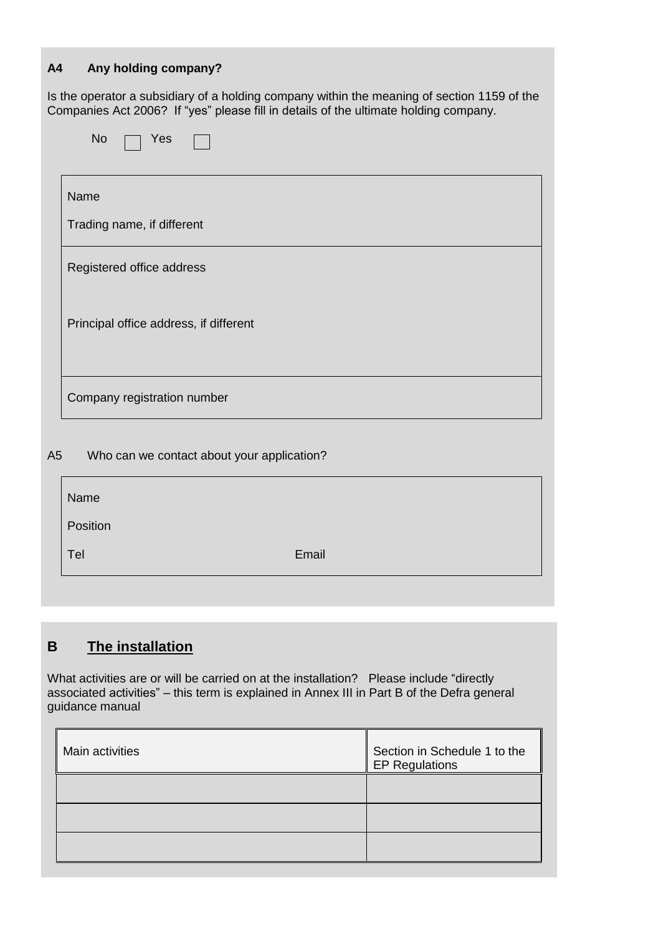# **A4 Any holding company?**

Is the operator a subsidiary of a holding company within the meaning of section 1159 of the Companies Act 2006? If "yes" please fill in details of the ultimate holding company.

| Name                      |                                        |  |
|---------------------------|----------------------------------------|--|
|                           | Trading name, if different             |  |
| Registered office address |                                        |  |
|                           | Principal office address, if different |  |
|                           | Company registration number            |  |

| Name     |       |
|----------|-------|
| Position |       |
| Tel      | Email |
|          |       |

# **B The installation**

What activities are or will be carried on at the installation? Please include "directly associated activities" – this term is explained in Annex III in Part B of the Defra general guidance manual

| Main activities | Section in Schedule 1 to the<br><b>EP Regulations</b> |
|-----------------|-------------------------------------------------------|
|                 |                                                       |
|                 |                                                       |
|                 |                                                       |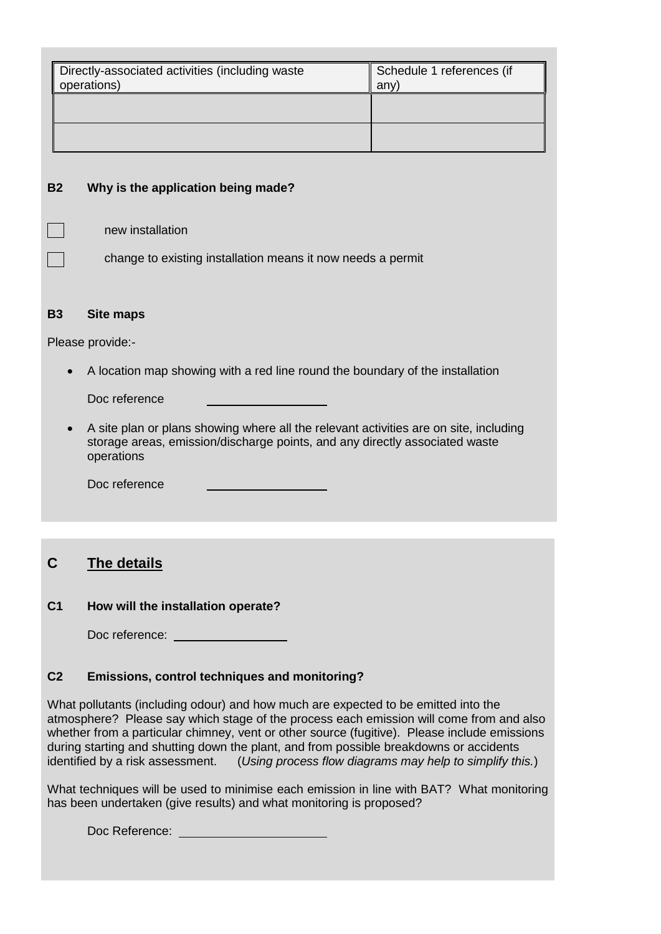| Directly-associated activities (including waste<br>operations) | Schedule 1 references (if<br>any |
|----------------------------------------------------------------|----------------------------------|
|                                                                |                                  |
|                                                                |                                  |

### **B2 Why is the application being made?**

new installation

change to existing installation means it now needs a permit

#### **B3 Site maps**

Please provide:-

A location map showing with a red line round the boundary of the installation

Doc reference

 A site plan or plans showing where all the relevant activities are on site, including storage areas, emission/discharge points, and any directly associated waste operations

Doc reference

# **C The details**

#### **C1 How will the installation operate?**

Doc reference: and the state of the state of the state of the state of the state of the state of the state of the state of the state of the state of the state of the state of the state of the state of the state of the stat

#### **C2 Emissions, control techniques and monitoring?**

What pollutants (including odour) and how much are expected to be emitted into the atmosphere? Please say which stage of the process each emission will come from and also whether from a particular chimney, vent or other source (fugitive). Please include emissions during starting and shutting down the plant, and from possible breakdowns or accidents identified by a risk assessment. (*Using process flow diagrams may help to simplify this.*)

What techniques will be used to minimise each emission in line with BAT? What monitoring has been undertaken (give results) and what monitoring is proposed?

Doc Reference: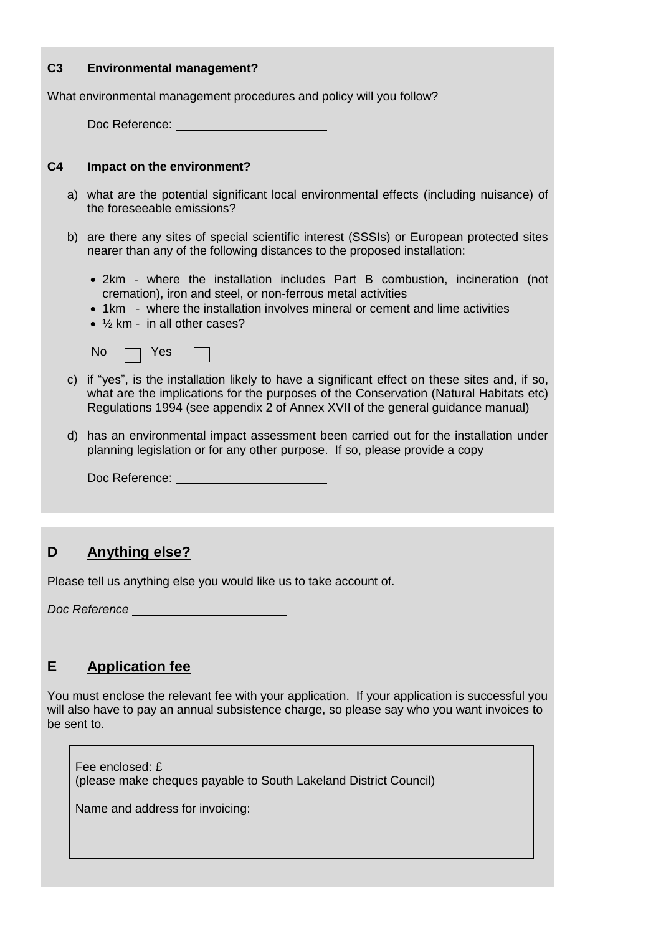### **C3 Environmental management?**

What environmental management procedures and policy will you follow?

Doc Reference: University

#### **C4 Impact on the environment?**

- a) what are the potential significant local environmental effects (including nuisance) of the foreseeable emissions?
- b) are there any sites of special scientific interest (SSSIs) or European protected sites nearer than any of the following distances to the proposed installation:
	- 2km where the installation includes Part B combustion, incineration (not cremation), iron and steel, or non-ferrous metal activities
	- 1km where the installation involves mineral or cement and lime activities
	- ½ km in all other cases?

|  | No $\Box$ Yes $\Box$ |  |  |
|--|----------------------|--|--|
|--|----------------------|--|--|

- c) if "yes", is the installation likely to have a significant effect on these sites and, if so, what are the implications for the purposes of the Conservation (Natural Habitats etc) Regulations 1994 (see appendix 2 of Annex XVII of the general guidance manual)
- d) has an environmental impact assessment been carried out for the installation under planning legislation or for any other purpose. If so, please provide a copy

Doc Reference: We have a state of the state of the state of the state of the state of the state of the state of the state of the state of the state of the state of the state of the state of the state of the state of the st

# **D Anything else?**

Please tell us anything else you would like us to take account of.

*Doc Reference*

# **E Application fee**

You must enclose the relevant fee with your application. If your application is successful you will also have to pay an annual subsistence charge, so please say who you want invoices to be sent to.

Fee enclosed: £ (please make cheques payable to South Lakeland District Council)

Name and address for invoicing: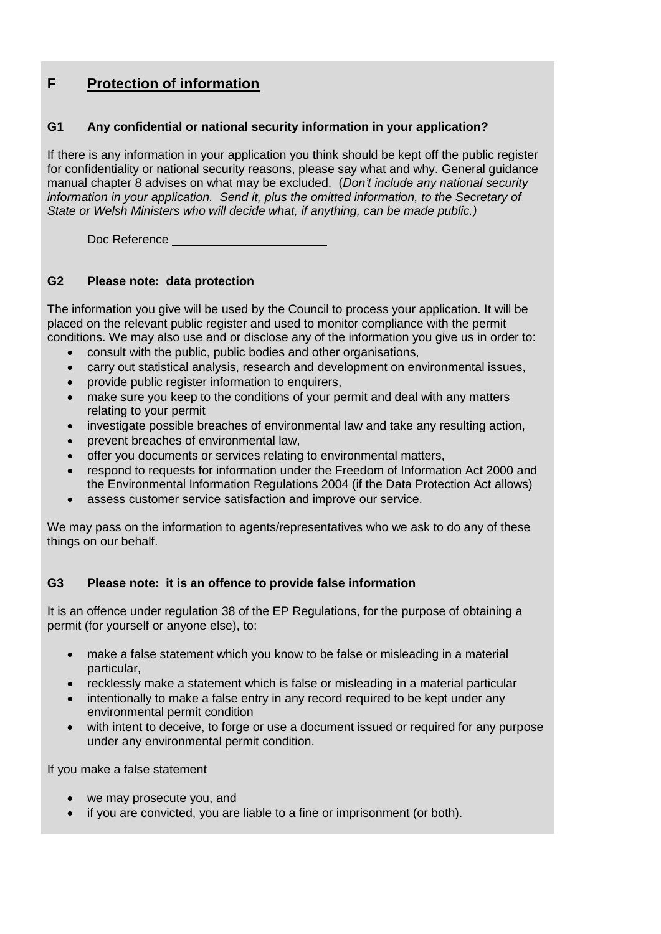# **F Protection of information**

### **G1 Any confidential or national security information in your application?**

If there is any information in your application you think should be kept off the public register for confidentiality or national security reasons, please say what and why. General guidance manual chapter 8 advises on what may be excluded. (*Don't include any national security information in your application. Send it, plus the omitted information, to the Secretary of State or Welsh Ministers who will decide what, if anything, can be made public.)*

Doc Reference

### **G2 Please note: data protection**

The information you give will be used by the Council to process your application. It will be placed on the relevant public register and used to monitor compliance with the permit conditions. We may also use and or disclose any of the information you give us in order to:

- consult with the public, public bodies and other organisations,
- carry out statistical analysis, research and development on environmental issues,
- provide public register information to enquirers,
- make sure you keep to the conditions of your permit and deal with any matters relating to your permit
- investigate possible breaches of environmental law and take any resulting action,
- prevent breaches of environmental law,
- offer you documents or services relating to environmental matters,
- respond to requests for information under the Freedom of Information Act 2000 and the Environmental Information Regulations 2004 (if the Data Protection Act allows)
- assess customer service satisfaction and improve our service.

We may pass on the information to agents/representatives who we ask to do any of these things on our behalf.

# **G3 Please note: it is an offence to provide false information**

It is an offence under regulation 38 of the EP Regulations, for the purpose of obtaining a permit (for yourself or anyone else), to:

- make a false statement which you know to be false or misleading in a material particular,
- recklessly make a statement which is false or misleading in a material particular
- intentionally to make a false entry in any record required to be kept under any environmental permit condition
- with intent to deceive, to forge or use a document issued or required for any purpose under any environmental permit condition.

If you make a false statement

- we may prosecute you, and
- if you are convicted, you are liable to a fine or imprisonment (or both).